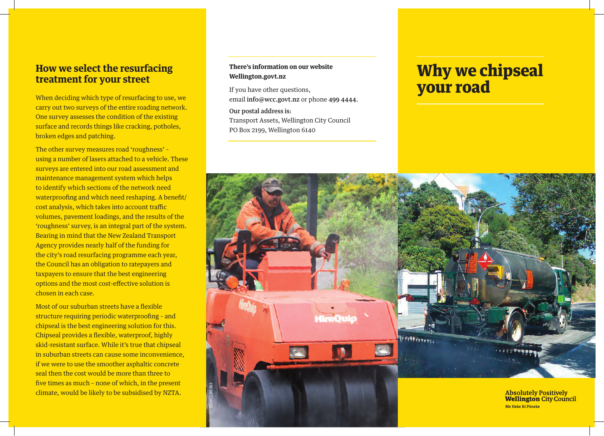### **How we select the resurfacing treatment for your street**

When deciding which type of resurfacing to use, we carry out two surveys of the entire roading network. One survey assesses the condition of the existing surface and records things like cracking, potholes, broken edges and patching.

The other survey measures road 'roughness' – using a number of lasers attached to a vehicle. These surveys are entered into our road assessment and maintenance management system which helps to identify which sections of the network need waterproofing and which need reshaping. A benefit/ cost analysis, which takes into account traffic volumes, pavement loadings, and the results of the 'roughness' survey, is an integral part of the system. Bearing in mind that the New Zealand Transport Agency provides nearly half of the funding for the city's road resurfacing programme each year, the Council has an obligation to ratepayers and taxpayers to ensure that the best engineering options and the most cost-effective solution is chosen in each case.

Most of our suburban streets have a flexible structure requiring periodic waterproofing – and chipseal is the best engineering solution for this. Chipseal provides a flexible, waterproof, highly skid-resistant surface. While it's true that chipseal in suburban streets can cause some inconvenience, if we were to use the smoother asphaltic concrete seal then the cost would be more than three to five times as much – none of which, in the present climate, would be likely to be subsidised by NZTA.

#### **There's information on our website Wellington.govt.nz**

If you have other questions, email info@wcc.govt.nz or phone 499 4444.

Our postal address is: Transport Assets, Wellington City Council

PO Box 2199, Wellington 6140

# Why we chipseal your road